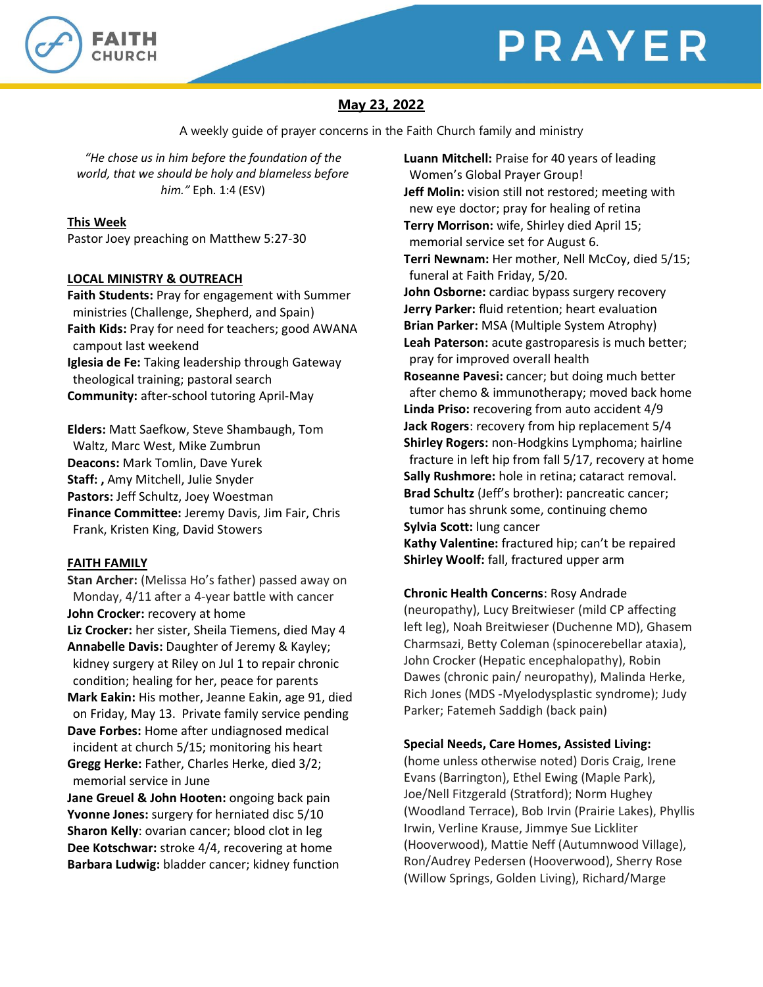



# **May 23, 2022**

A weekly guide of prayer concerns in the Faith Church family and ministry

*"He chose us in him before the foundation of the world, that we should be holy and blameless before him."* Eph. 1:4 (ESV)

## **This Week**

Pastor Joey preaching on Matthew 5:27-30

## **LOCAL MINISTRY & OUTREACH**

**Faith Students:** Pray for engagement with Summer ministries (Challenge, Shepherd, and Spain) **Faith Kids:** Pray for need for teachers; good AWANA campout last weekend **Iglesia de Fe:** Taking leadership through Gateway theological training; pastoral search **Community:** after-school tutoring April-May

**Elders:** Matt Saefkow, Steve Shambaugh, Tom Waltz, Marc West, Mike Zumbrun **Deacons:** Mark Tomlin, Dave Yurek **Staff: ,** Amy Mitchell, Julie Snyder **Pastors:** Jeff Schultz, Joey Woestman **Finance Committee:** Jeremy Davis, Jim Fair, Chris Frank, Kristen King, David Stowers

## **FAITH FAMILY**

**Stan Archer:** (Melissa Ho's father) passed away on Monday, 4/11 after a 4-year battle with cancer **John Crocker:** recovery at home **Liz Crocker:** her sister, Sheila Tiemens, died May 4 **Annabelle Davis:** Daughter of Jeremy & Kayley; kidney surgery at Riley on Jul 1 to repair chronic condition; healing for her, peace for parents **Mark Eakin:** His mother, Jeanne Eakin, age 91, died on Friday, May 13. Private family service pending **Dave Forbes:** Home after undiagnosed medical incident at church 5/15; monitoring his heart **Gregg Herke:** Father, Charles Herke, died 3/2; memorial service in June

**Jane Greuel & John Hooten:** ongoing back pain **Yvonne Jones:** surgery for herniated disc 5/10 **Sharon Kelly**: ovarian cancer; blood clot in leg **Dee Kotschwar:** stroke 4/4, recovering at home **Barbara Ludwig:** bladder cancer; kidney function **Luann Mitchell:** Praise for 40 years of leading Women's Global Prayer Group! **Jeff Molin:** vision still not restored; meeting with new eye doctor; pray for healing of retina **Terry Morrison:** wife, Shirley died April 15; memorial service set for August 6. **Terri Newnam:** Her mother, Nell McCoy, died 5/15; funeral at Faith Friday, 5/20. **John Osborne:** cardiac bypass surgery recovery **Jerry Parker:** fluid retention; heart evaluation **Brian Parker:** MSA (Multiple System Atrophy) **Leah Paterson:** acute gastroparesis is much better; pray for improved overall health **Roseanne Pavesi:** cancer; but doing much better after chemo & immunotherapy; moved back home **Linda Priso:** recovering from auto accident 4/9 **Jack Rogers**: recovery from hip replacement 5/4 **Shirley Rogers:** non-Hodgkins Lymphoma; hairline fracture in left hip from fall 5/17, recovery at home **Sally Rushmore:** hole in retina; cataract removal. **Brad Schultz** (Jeff's brother): pancreatic cancer; tumor has shrunk some, continuing chemo **Sylvia Scott:** lung cancer **Kathy Valentine:** fractured hip; can't be repaired **Shirley Woolf:** fall, fractured upper arm

## **Chronic Health Concerns**: Rosy Andrade

(neuropathy), Lucy Breitwieser (mild CP affecting left leg), Noah Breitwieser (Duchenne MD), Ghasem Charmsazi, Betty Coleman (spinocerebellar ataxia), John Crocker (Hepatic encephalopathy), Robin Dawes (chronic pain/ neuropathy), Malinda Herke, Rich Jones (MDS -Myelodysplastic syndrome); Judy Parker; Fatemeh Saddigh (back pain)

## **Special Needs, Care Homes, Assisted Living:**

(home unless otherwise noted) Doris Craig, Irene Evans (Barrington), Ethel Ewing (Maple Park), Joe/Nell Fitzgerald (Stratford); Norm Hughey (Woodland Terrace), Bob Irvin (Prairie Lakes), Phyllis Irwin, Verline Krause, Jimmye Sue Lickliter (Hooverwood), Mattie Neff (Autumnwood Village), Ron/Audrey Pedersen (Hooverwood), Sherry Rose (Willow Springs, Golden Living), Richard/Marge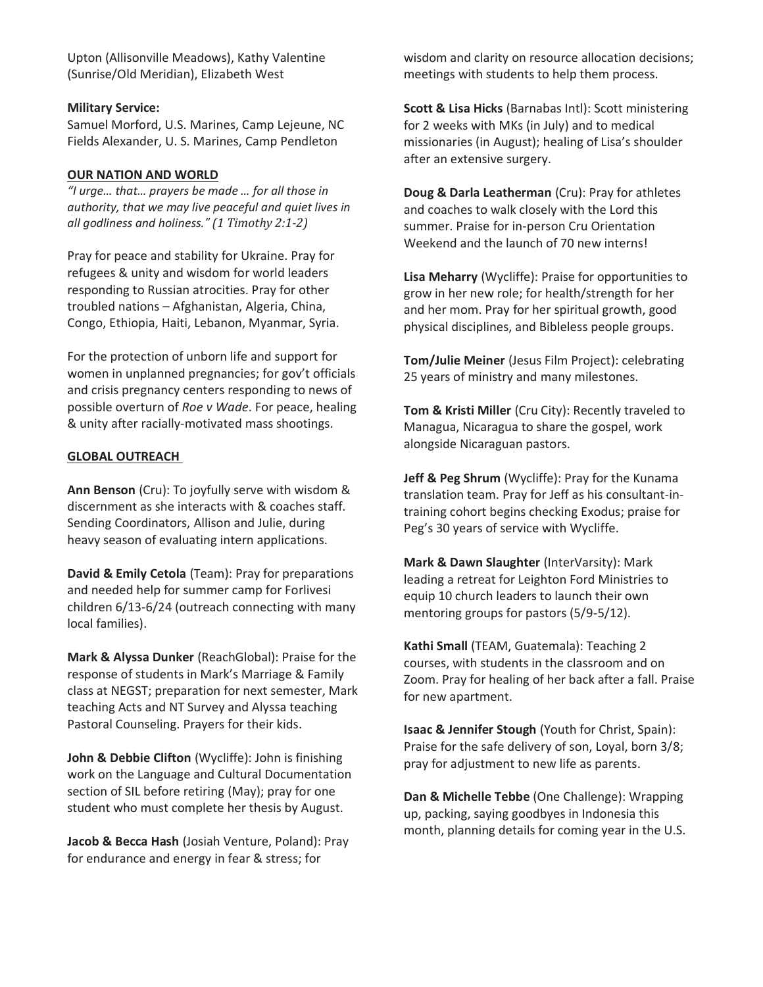Upton (Allisonville Meadows), Kathy Valentine (Sunrise/Old Meridian), Elizabeth West

#### **Military Service:**

Samuel Morford, U.S. Marines, Camp Lejeune, NC Fields Alexander, U. S. Marines, Camp Pendleton

### **OUR NATION AND WORLD**

*"I urge… that… prayers be made … for all those in authority, that we may live peaceful and quiet lives in all godliness and holiness." (1 Timothy 2:1-2)*

Pray for peace and stability for Ukraine. Pray for refugees & unity and wisdom for world leaders responding to Russian atrocities. Pray for other troubled nations – Afghanistan, Algeria, China, Congo, Ethiopia, Haiti, Lebanon, Myanmar, Syria.

For the protection of unborn life and support for women in unplanned pregnancies; for gov't officials and crisis pregnancy centers responding to news of possible overturn of *Roe v Wade*. For peace, healing & unity after racially-motivated mass shootings.

## **GLOBAL OUTREACH**

**Ann Benson** (Cru): To joyfully serve with wisdom & discernment as she interacts with & coaches staff. Sending Coordinators, Allison and Julie, during heavy season of evaluating intern applications.

**David & Emily Cetola** (Team): Pray for preparations and needed help for summer camp for Forlivesi children 6/13-6/24 (outreach connecting with many local families).

**Mark & Alyssa Dunker** (ReachGlobal): Praise for the response of students in Mark's Marriage & Family class at NEGST; preparation for next semester, Mark teaching Acts and NT Survey and Alyssa teaching Pastoral Counseling. Prayers for their kids.

**John & Debbie Clifton** (Wycliffe): John is finishing work on the Language and Cultural Documentation section of SIL before retiring (May); pray for one student who must complete her thesis by August.

**Jacob & Becca Hash** (Josiah Venture, Poland): Pray for endurance and energy in fear & stress; for

wisdom and clarity on resource allocation decisions; meetings with students to help them process.

**Scott & Lisa Hicks** (Barnabas Intl): Scott ministering for 2 weeks with MKs (in July) and to medical missionaries (in August); healing of Lisa's shoulder after an extensive surgery.

**Doug & Darla Leatherman** (Cru): Pray for athletes and coaches to walk closely with the Lord this summer. Praise for in-person Cru Orientation Weekend and the launch of 70 new interns!

**Lisa Meharry** (Wycliffe): Praise for opportunities to grow in her new role; for health/strength for her and her mom. Pray for her spiritual growth, good physical disciplines, and Bibleless people groups.

**Tom/Julie Meiner** (Jesus Film Project): celebrating 25 years of ministry and many milestones.

**Tom & Kristi Miller** (Cru City): Recently traveled to Managua, Nicaragua to share the gospel, work alongside Nicaraguan pastors.

**Jeff & Peg Shrum** (Wycliffe): Pray for the Kunama translation team. Pray for Jeff as his consultant-intraining cohort begins checking Exodus; praise for Peg's 30 years of service with Wycliffe.

**Mark & Dawn Slaughter** (InterVarsity): Mark leading a retreat for Leighton Ford Ministries to equip 10 church leaders to launch their own mentoring groups for pastors (5/9-5/12).

**Kathi Small** (TEAM, Guatemala): Teaching 2 courses, with students in the classroom and on Zoom. Pray for healing of her back after a fall. Praise for new apartment.

**Isaac & Jennifer Stough** (Youth for Christ, Spain): Praise for the safe delivery of son, Loyal, born 3/8; pray for adjustment to new life as parents.

**Dan & Michelle Tebbe** (One Challenge): Wrapping up, packing, saying goodbyes in Indonesia this month, planning details for coming year in the U.S.